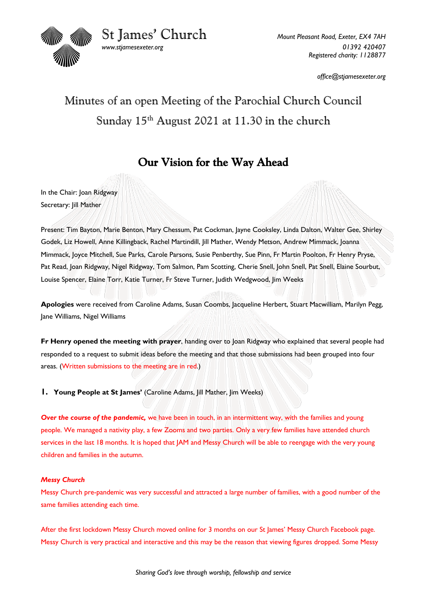

St James' Church *Mount Pleasant Road, Exeter, EX4 7AH*

*www.stjamesexeter.org 01392 420407 Registered charity: 1128877*

*office@stjamesexeter.org*

# Minutes of an open Meeting of the Parochial Church Council Sunday 15<sup>th</sup> August 2021 at 11.30 in the church

# Our Vision for the Way Ahead

In the Chair: Joan Ridgway Secretary: Jill Mather

Present: Tim Bayton, Marie Benton, Mary Chessum, Pat Cockman, Jayne Cooksley, Linda Dalton, Walter Gee, Shirley Godek, Liz Howell, Anne Killingback, Rachel Martindill, Jill Mather, Wendy Metson, Andrew Mimmack, Joanna Mimmack, Joyce Mitchell, Sue Parks, Carole Parsons, Susie Penberthy, Sue Pinn, Fr Martin Poolton, Fr Henry Pryse, Pat Read, Joan Ridgway, Nigel Ridgway, Tom Salmon, Pam Scotting, Cherie Snell, John Snell, Pat Snell, Elaine Sourbut, Louise Spencer, Elaine Torr, Katie Turner, Fr Steve Turner, Judith Wedgwood, Jim Weeks

**Apologies** were received from Caroline Adams, Susan Coombs, Jacqueline Herbert, Stuart Macwilliam, Marilyn Pegg, Jane Williams, Nigel Williams

**Fr Henry opened the meeting with prayer**, handing over to Joan Ridgway who explained that several people had responded to a request to submit ideas before the meeting and that those submissions had been grouped into four areas. (Written submissions to the meeting are in red.)

**1. Young People at St James'** (Caroline Adams, Jill Mather, Jim Weeks)

*Over the course of the pandemic,* we have been in touch, in an intermittent way, with the families and young people. We managed a nativity play, a few Zooms and two parties. Only a very few families have attended church services in the last 18 months. It is hoped that JAM and Messy Church will be able to reengage with the very young children and families in the autumn.

### *Messy Church*

Messy Church pre-pandemic was very successful and attracted a large number of families, with a good number of the same families attending each time.

After the first lockdown Messy Church moved online for 3 months on our St James' Messy Church Facebook page. Messy Church is very practical and interactive and this may be the reason that viewing figures dropped. Some Messy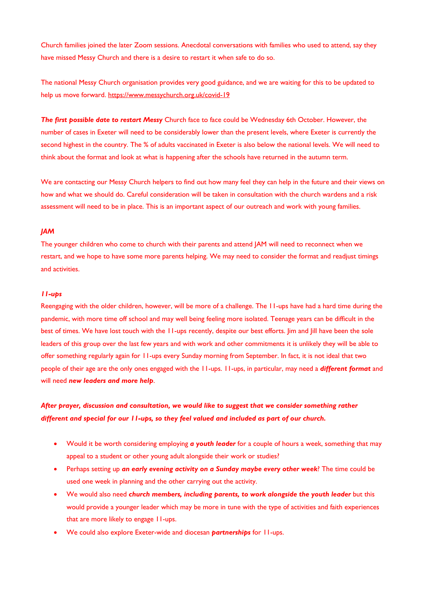Church families joined the later Zoom sessions. Anecdotal conversations with families who used to attend, say they have missed Messy Church and there is a desire to restart it when safe to do so.

The national Messy Church organisation provides very good guidance, and we are waiting for this to be updated to help us move forward. https://www.messychurch.org.uk/covid-19

*The first possible date to restart Messy* Church face to face could be Wednesday 6th October. However, the number of cases in Exeter will need to be considerably lower than the present levels, where Exeter is currently the second highest in the country. The % of adults vaccinated in Exeter is also below the national levels. We will need to think about the format and look at what is happening after the schools have returned in the autumn term.

We are contacting our Messy Church helpers to find out how many feel they can help in the future and their views on how and what we should do. Careful consideration will be taken in consultation with the church wardens and a risk assessment will need to be in place. This is an important aspect of our outreach and work with young families.

#### *JAM*

The younger children who come to church with their parents and attend JAM will need to reconnect when we restart, and we hope to have some more parents helping. We may need to consider the format and readjust timings and activities.

#### *11-ups*

Reengaging with the older children, however, will be more of a challenge. The 11-ups have had a hard time during the pandemic, with more time off school and may well being feeling more isolated. Teenage years can be difficult in the best of times. We have lost touch with the 11-ups recently, despite our best efforts. Jim and Jill have been the sole leaders of this group over the last few years and with work and other commitments it is unlikely they will be able to offer something regularly again for 11-ups every Sunday morning from September. In fact, it is not ideal that two people of their age are the only ones engaged with the 11-ups. 11-ups, in particular, may need a *different format* and will need *new leaders and more help*.

## *After prayer, discussion and consultation, we would like to suggest that we consider something rather different and special for our 11-ups, so they feel valued and included as part of our church.*

- Would it be worth considering employing *a youth leader* for a couple of hours a week, something that may appeal to a student or other young adult alongside their work or studies?
- Perhaps setting up *an early evening activity on a Sunday maybe every other week*? The time could be used one week in planning and the other carrying out the activity.
- We would also need *church members, including parents, to work alongside the youth leader* but this would provide a younger leader which may be more in tune with the type of activities and faith experiences that are more likely to engage 11-ups.
- We could also explore Exeter-wide and diocesan *partnerships* for 11-ups.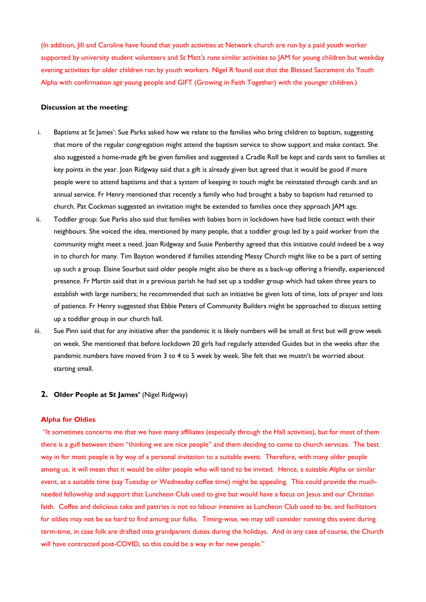(In addition, Jill and Caroline have found that youth activities at Network church are run by a paid youth worker supported by university student volunteers and St Matt's runs similar activities to JAM for young children but weekday evening activities for older children run by youth workers. Nigel R found out that the Blessed Sacrament do Youth Alpha with confirmation age young people and GIFT (Growing in Faith Together) with the younger children.)

#### **Discussion at the meeting**:

- i. Baptisms at St James': Sue Parks asked how we relate to the families who bring children to baptism, suggesting that more of the regular congregation might attend the baptism service to show support and make contact. She also suggested a home-made gift be given families and suggested a Cradle Roll be kept and cards sent to families at key points in the year. Joan Ridgway said that a gift is already given but agreed that it would be good if more people were to attend baptisms and that a system of keeping in touch might be reinstated through cards and an annual service. Fr Henry mentioned that recently a family who had brought a baby to baptism had returned to church. Pat Cockman suggested an invitation might be extended to families once they approach JAM age.
- ii. Toddler group: Sue Parks also said that families with babies born in lockdown have had little contact with their neighbours. She voiced the idea, mentioned by many people, that a toddler group led by a paid worker from the community might meet a need. Joan Ridgway and Susie Penberthy agreed that this initiative could indeed be a way in to church for many. Tim Bayton wondered if families attending Messy Church might like to be a part of setting up such a group. Elaine Sourbut said older people might also be there as a back-up offering a friendly, experienced presence. Fr Martin said that in a previous parish he had set up a toddler group which had taken three years to establish with large numbers; he recommended that such an initiative be given lots of time, lots of prayer and lots of patience. Fr Henry suggested that Ebbie Peters of Community Builders might be approached to discuss setting up a toddler group in our church hall.
- iii. Sue Pinn said that for any initiative after the pandemic it is likely numbers will be small at first but will grow week on week. She mentioned that before lockdown 20 girls had regularly attended Guides but in the weeks after the pandemic numbers have moved from 3 to 4 to 5 week by week. She felt that we mustn't be worried about starting small.

#### **2. Older People at St James'** (Nigel Ridgway)

#### **Alpha for Oldies**

"It sometimes concerns me that we have many affiliates (especially through the Hall activities), but for most of them there is a gulf between them "thinking we are nice people" and them deciding to come to church services. The best way in for most people is by way of a personal invitation to a suitable event. Therefore, with many older people among us, it will mean that it would be older people who will tend to be invited. Hence, a suitable Alpha or similar event, at a suitable time (say Tuesday or Wednesday coffee time) might be appealing. This could provide the muchneeded fellowship and support that Luncheon Club used to give but would have a focus on Jesus and our Christian faith. Coffee and delicious cake and pastries is not so labour intensive as Luncheon Club used to be, and facilitators for oldies may not be so hard to find among our folks. Timing-wise, we may still consider running this event during term-time, in case folk are drafted into grandparent duties during the holidays. And in any case of course, the Church will have contracted post-COVID, so this could be a way in for new people."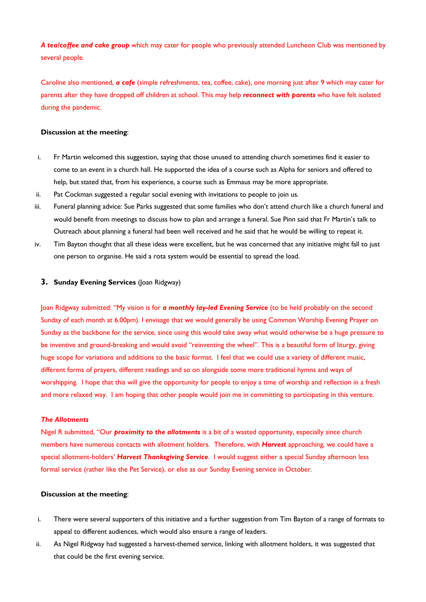*A tea/coffee and cake group* which may cater for people who previously attended Luncheon Club was mentioned by several people.

Caroline also mentioned, *a cafe* (simple refreshments, tea, coffee, cake), one morning just after 9 which may cater for parents after they have dropped off children at school. This may help *reconnect with parents* who have felt isolated during the pandemic.

#### **Discussion at the meeting**:

- i. Fr Martin welcomed this suggestion, saying that those unused to attending church sometimes find it easier to come to an event in a church hall. He supported the idea of a course such as Alpha for seniors and offered to help, but stated that, from his experience, a course such as Emmaus may be more appropriate.
- ii. Pat Cockman suggested a regular social evening with invitations to people to join us.
- iii. Funeral planning advice: Sue Parks suggested that some families who don't attend church like a church funeral and would benefit from meetings to discuss how to plan and arrange a funeral. Sue Pinn said that Fr Martin's talk to Outreach about planning a funeral had been well received and he said that he would be willing to repeat it.
- iv. Tim Bayton thought that all these ideas were excellent, but he was concerned that any initiative might fall to just one person to organise. He said a rota system would be essential to spread the load.

#### **3. Sunday Evening Services** (Joan Ridgway)

Joan Ridgway submitted: "My vision is for *a monthly lay-led Evening Service* (to be held probably on the second Sunday of each month at 6.00pm). I envisage that we would generally be using Common Worship Evening Prayer on Sunday as the backbone for the service, since using this would take away what would otherwise be a huge pressure to be inventive and ground-breaking and would avoid "reinventing the wheel". This is a beautiful form of liturgy, giving huge scope for variations and additions to the basic format. I feel that we could use a variety of different music, different forms of prayers, different readings and so on alongside some more traditional hymns and ways of worshipping. I hope that this will give the opportunity for people to enjoy a time of worship and reflection in a fresh and more relaxed way. I am hoping that other people would join me in committing to participating in this venture.

#### *The Allotments*

Nigel R submitted, "Our *proximity to the allotments* is a bit of a wasted opportunity, especially since church members have numerous contacts with allotment holders. Therefore, with *Harvest* approaching, we could have a special allotment-holders' *Harvest Thanksgiving Service*. I would suggest either a special Sunday afternoon less formal service (rather like the Pet Service), or else as our Sunday Evening service in October.

#### **Discussion at the meeting**:

- i. There were several supporters of this initiative and a further suggestion from Tim Bayton of a range of formats to appeal to different audiences, which would also ensure a range of leaders.
- ii. As Nigel Ridgway had suggested a harvest-themed service, linking with allotment holders, it was suggested that that could be the first evening service.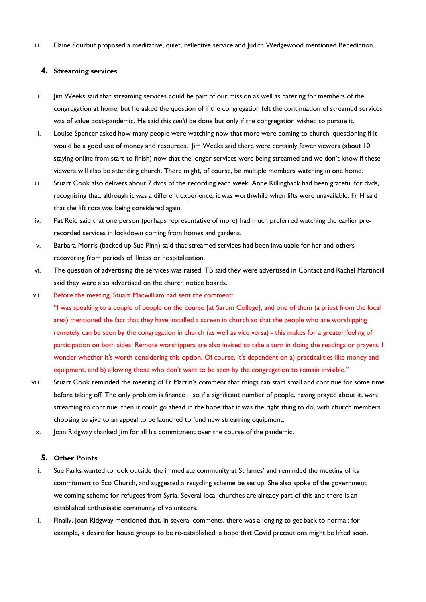iii. Elaine Sourbut proposed a meditative, quiet, reflective service and Judith Wedgewood mentioned Benediction.

#### **4. Streaming services**

- i. Jim Weeks said that streaming services could be part of our mission as well as catering for members of the congregation at home, but he asked the question of if the congregation felt the continuation of streamed services was of value post-pandemic. He said this *could* be done but only if the congregation wished to pursue it.
- ii. Louise Spencer asked how many people were watching now that more were coming to church, questioning if it would be a good use of money and resources. Jim Weeks said there were certainly fewer viewers (about 10 staying online from start to finish) now that the longer services were being streamed and we don't know if these viewers will also be attending church. There might, of course, be multiple members watching in one home.
- iii. Stuart Cook also delivers about 7 dvds of the recording each week. Anne Killingback had been grateful for dvds, recognising that, although it was a different experience, it was worthwhile when lifts were unavailable. Fr H said that the lift rota was being considered again.
- iv. Pat Reid said that one person (perhaps representative of more) had much preferred watching the earlier prerecorded services in lockdown coming from homes and gardens.
- v. Barbara Morris (backed up Sue Pinn) said that streamed services had been invaluable for her and others recovering from periods of illness or hospitalisation.
- vi. The question of advertising the services was raised: TB said they were advertised in Contact and Rachel Martindill said they were also advertised on the church notice boards.
- vii. Before the meeting, Stuart Macwilliam had sent the comment: "I was speaking to a couple of people on the course [at Sarum College], and one of them (a priest from the local area) mentioned the fact that they have installed a screen in church so that the people who are worshipping remotely can be seen by the congregation in church (as well as vice versa) - this makes for a greater feeling of participation on both sides. Remote worshippers are also invited to take a turn in doing the readings or prayers. I wonder whether it's worth considering this option. Of course, it's dependent on a) practicalities like money and equipment, and b) allowing those who don't want to be seen by the congregation to remain invisible."
- viii. Stuart Cook reminded the meeting of Fr Martin's comment that things can start small and continue for some time before taking off. The only problem is finance – so if a significant number of people, having prayed about it, *want* streaming to continue, then it could go ahead in the hope that it was the right thing to do, with church members choosing to give to an appeal to be launched to fund new streaming equipment.
- ix. Joan Ridgway thanked Jim for all his commitment over the course of the pandemic.

#### **5. Other Points**

- i. Sue Parks wanted to look outside the immediate community at St James' and reminded the meeting of its commitment to Eco Church, and suggested a recycling scheme be set up. She also spoke of the government welcoming scheme for refugees from Syria. Several local churches are already part of this and there is an established enthusiastic community of volunteers.
- ii. Finally, Joan Ridgway mentioned that, in several comments, there was a longing to get back to normal: for example, a desire for house groups to be re-established; a hope that Covid precautions might be lifted soon.